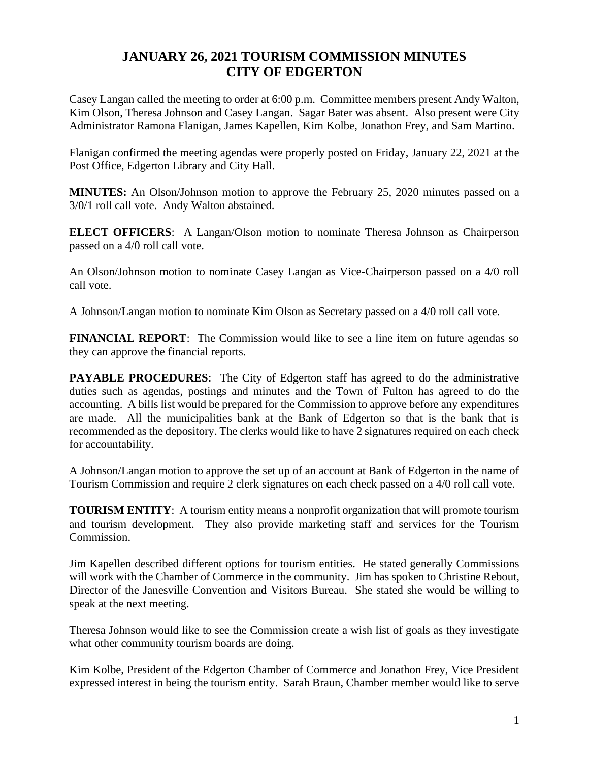## **JANUARY 26, 2021 TOURISM COMMISSION MINUTES CITY OF EDGERTON**

Casey Langan called the meeting to order at 6:00 p.m. Committee members present Andy Walton, Kim Olson, Theresa Johnson and Casey Langan. Sagar Bater was absent. Also present were City Administrator Ramona Flanigan, James Kapellen, Kim Kolbe, Jonathon Frey, and Sam Martino.

Flanigan confirmed the meeting agendas were properly posted on Friday, January 22, 2021 at the Post Office, Edgerton Library and City Hall.

**MINUTES:** An Olson/Johnson motion to approve the February 25, 2020 minutes passed on a 3/0/1 roll call vote. Andy Walton abstained.

**ELECT OFFICERS**: A Langan/Olson motion to nominate Theresa Johnson as Chairperson passed on a 4/0 roll call vote.

An Olson/Johnson motion to nominate Casey Langan as Vice-Chairperson passed on a 4/0 roll call vote.

A Johnson/Langan motion to nominate Kim Olson as Secretary passed on a 4/0 roll call vote.

**FINANCIAL REPORT:** The Commission would like to see a line item on future agendas so they can approve the financial reports.

**PAYABLE PROCEDURES:** The City of Edgerton staff has agreed to do the administrative duties such as agendas, postings and minutes and the Town of Fulton has agreed to do the accounting. A bills list would be prepared for the Commission to approve before any expenditures are made. All the municipalities bank at the Bank of Edgerton so that is the bank that is recommended as the depository. The clerks would like to have 2 signatures required on each check for accountability.

A Johnson/Langan motion to approve the set up of an account at Bank of Edgerton in the name of Tourism Commission and require 2 clerk signatures on each check passed on a 4/0 roll call vote.

**TOURISM ENTITY**: A tourism entity means a nonprofit organization that will promote tourism and tourism development. They also provide marketing staff and services for the Tourism Commission.

Jim Kapellen described different options for tourism entities. He stated generally Commissions will work with the Chamber of Commerce in the community. Jim has spoken to Christine Rebout, Director of the Janesville Convention and Visitors Bureau. She stated she would be willing to speak at the next meeting.

Theresa Johnson would like to see the Commission create a wish list of goals as they investigate what other community tourism boards are doing.

Kim Kolbe, President of the Edgerton Chamber of Commerce and Jonathon Frey, Vice President expressed interest in being the tourism entity. Sarah Braun, Chamber member would like to serve